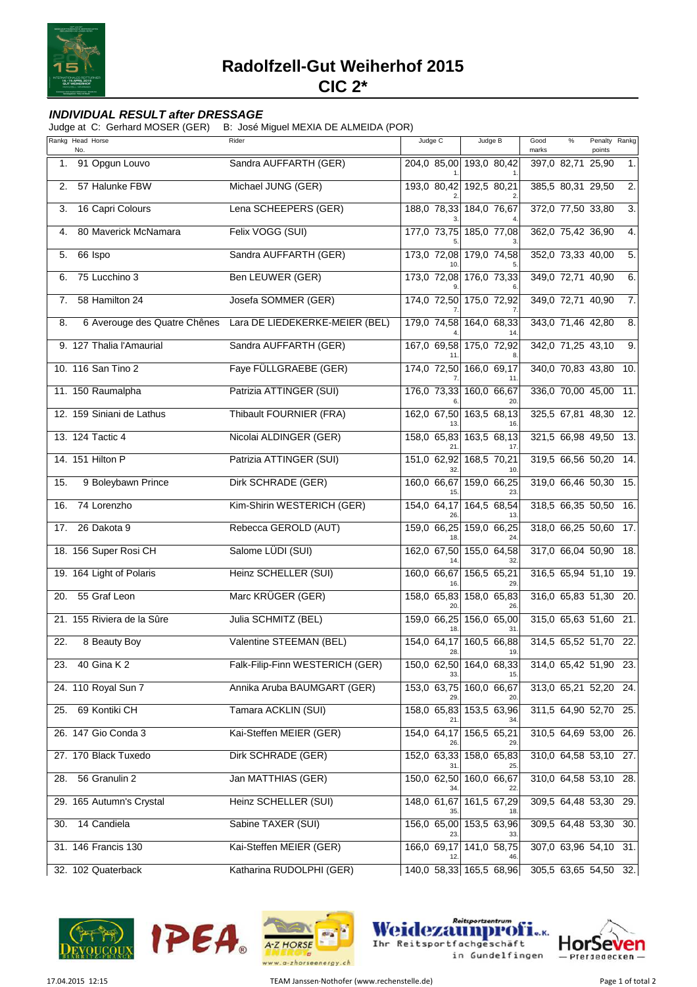

## **INDIVIDUAL RESULT after DRESSAGE**

Judge at C: Gerhard MOSER (GER) B: José Miguel MEXIA DE ALMEIDA (POR)

|     | Rankg Head Horse<br>No.      | Rider                           | Judge C            | Judge B                        | $\%$<br>Penalty<br>Rankg<br>Good<br>points<br>marks |
|-----|------------------------------|---------------------------------|--------------------|--------------------------------|-----------------------------------------------------|
| 1.  | 91 Opgun Louvo               | Sandra AUFFARTH (GER)           |                    | 204,0 85,00 193,0 80,42        | 397,0 82,71<br>25,90<br>1.                          |
| 2.  | 57 Halunke FBW               | Michael JUNG (GER)              | 193,0 80,42        | 192,5 80,21                    | 385,5 80,31 29,50<br>$\overline{2}$ .               |
| 3.  | 16 Capri Colours             | Lena SCHEEPERS (GER)            |                    | 188,0 78,33 184,0 76,67        | 372,0 77,50 33,80<br>$\overline{3}$ .               |
| 4.  | 80 Maverick McNamara         | Felix VOGG (SUI)                |                    | 177,0 73,75 185,0 77,08        | 362,0 75,42 36,90<br>4.                             |
| 5.  | 66 Ispo                      | Sandra AUFFARTH (GER)           |                    | 173,0 72,08 179,0 74,58        | 352,0 73,33 40,00<br>5.                             |
| 6.  | 75 Lucchino 3                | Ben LEUWER (GER)                | 173,0 72,08        | 176,0 73,33                    | 349,0 72,71 40,90<br>6.                             |
| 7.  | 58 Hamilton 24               | Josefa SOMMER (GER)             |                    | 174,0 72,50 175,0 72,92        | 349,0 72,71 40,90<br>$\overline{7}$ .               |
| 8.  | 6 Averouge des Quatre Chênes | Lara DE LIEDEKERKE-MEIER (BEL)  |                    | 179,0 74,58 164,0 68,33        | 343,0 71,46 42,80<br>8.                             |
|     | 9. 127 Thalia l'Amaurial     | Sandra AUFFARTH (GER)           |                    | 167,0 69,58 175,0 72,92        | 342,0 71,25 43,10<br>9.                             |
|     | 10. 116 San Tino 2           | Faye FÜLLGRAEBE (GER)           |                    | 174,0 72,50 166,0 69,17<br>11  | 340,0 70,83 43,80<br>10.                            |
|     | 11. 150 Raumalpha            | Patrizia ATTINGER (SUI)         | 176,0 73,33        | 160,0 66,67                    | 336,0 70,00 45,00<br>11.                            |
|     | 12. 159 Siniani de Lathus    | Thibault FOURNIER (FRA)         |                    | 162,0 67,50 163,5 68,13        | 325,5 67,81 48,30<br>12.                            |
|     | 13. 124 Tactic 4             | Nicolai ALDINGER (GER)          |                    | 158,0 65,83 163,5 68,13<br>17. | 321,5 66,98 49,50<br>13.                            |
|     | 14. 151 Hilton P             | Patrizia ATTINGER (SUI)         | 151,0 62,92        | 168,5 70,21<br>10.             | 319,5 66,56 50,20<br>14.                            |
| 15. | 9 Boleybawn Prince           | Dirk SCHRADE (GER)              | 160,0 66,67        | 159,0 66,25                    | 319,0 66,46 50,30<br>15.                            |
| 16. | 74 Lorenzho                  | Kim-Shirin WESTERICH (GER)      | 154,0 64,17        | 164,5 68,54<br>13.             | 318,5 66,35 50,50<br>16.                            |
| 17. | 26 Dakota 9                  | Rebecca GEROLD (AUT)            |                    | 159,0 66,25 159,0 66,25<br>24  | 318,0 66,25 50,60<br>17.                            |
|     | 18. 156 Super Rosi CH        | Salome LÜDI (SUI)               |                    | 162,0 67,50 155,0 64,58<br>32  | 317,0 66,04 50,90<br>18.                            |
|     | 19. 164 Light of Polaris     | Heinz SCHELLER (SUI)            | 160,0 66,67        | 156,5 65,21<br>29              | 316,5 65,94 51,10<br>19.                            |
| 20. | 55 Graf Leon                 | Marc KRÜGER (GER)               | 158,0 65,83<br>20  | 158,0 65,83<br>26.             | 316,0 65,83 51,30<br>20.                            |
|     | 21. 155 Riviera de la Sûre   | Julia SCHMITZ (BEL)             | 159,0 66,25        | 156,0 65,00<br>31.             | 315,0 65,63 51,60 21.                               |
| 22. | 8 Beauty Boy                 | Valentine STEEMAN (BEL)         | 154,0 64,17<br>28. | 160,5 66,88<br>19.             | 314,5 65,52 51,70<br>22.                            |
| 23. | 40 Gina K 2                  | Falk-Filip-Finn WESTERICH (GER) |                    | 150,0 62,50 164,0 68,33        | 314,0 65,42 51,90 23.                               |
|     | 24. 110 Royal Sun 7          | Annika Aruba BAUMGART (GER)     |                    | 153,0 63,75 160,0 66,67        | 313,0 65,21 52,20 24.                               |
| 25. | 69 Kontiki CH                | Tamara ACKLIN (SUI)             |                    | 158,0 65,83 153,5 63,96        | 311,5 64,90 52,70 25.                               |
|     | 26. 147 Gio Conda 3          | Kai-Steffen MEIER (GER)         | 154,0 64,17        | 156,5 65,21<br>29              | 310,5 64,69 53,00 26.                               |
|     | 27. 170 Black Tuxedo         | Dirk SCHRADE (GER)              |                    | 152,0 63,33 158,0 65,83        | 310,0 64,58 53,10 27.                               |
| 28. | 56 Granulin 2                | Jan MATTHIAS (GER)              |                    | 150,0 62,50 160,0 66,67        | 310,0 64,58 53,10 28.                               |
|     | 29. 165 Autumn's Crystal     | Heinz SCHELLER (SUI)            |                    | 148,0 61,67 161,5 67,29        | 309,5 64,48 53,30 29.                               |
| 30. | 14 Candiela                  | Sabine TAXER (SUI)              | 23                 | 156,0 65,00 153,5 63,96<br>33. | 309,5 64,48 53,30 30.                               |
|     | 31. 146 Francis 130          | Kai-Steffen MEIER (GER)         |                    | 166,0 69,17 141,0 58,75        | 307,0 63,96 54,10 31.                               |
|     | 32. 102 Quaterback           | Katharina RUDOLPHI (GER)        |                    | 140,0 58,33 165,5 68,96        | 305,5 63,65 54,50 32.                               |